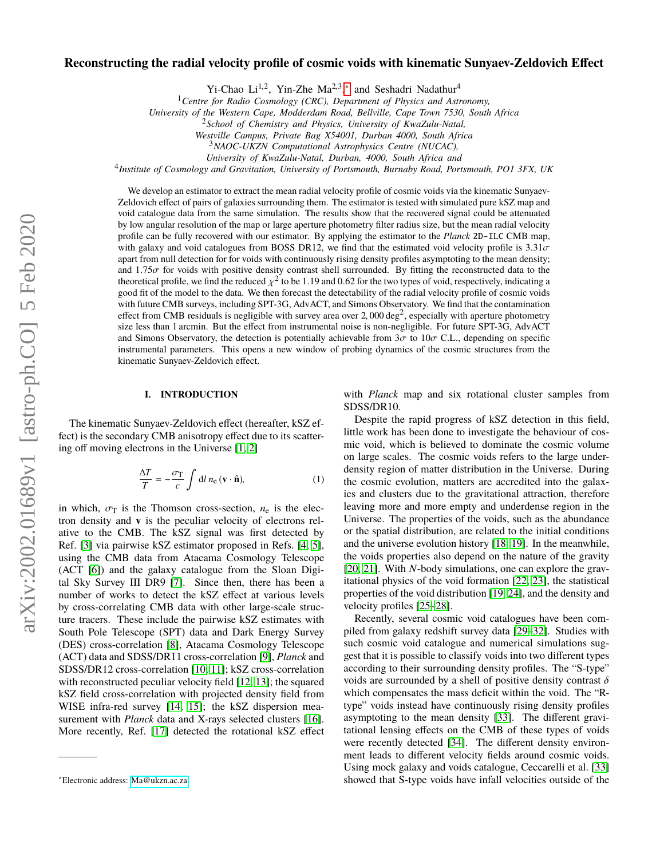# **Reconstructing the radial velocity profile of cosmic voids with kinematic Sunyaev-Zeldovich Effect**

Yi-Chao Li<sup>1,2</sup>, Yin-Zhe Ma<sup>2,3</sup>,\* and Seshadri Nadathur<sup>4</sup>

<sup>1</sup>*Centre for Radio Cosmology (CRC), Department of Physics and Astronomy,*

*University of the Western Cape, Modderdam Road, Bellville, Cape Town 7530, South Africa*

<sup>2</sup>*School of Chemistry and Physics, University of KwaZulu-Natal,*

*Westville Campus, Private Bag X54001, Durban 4000, South Africa*

<sup>3</sup>*NAOC-UKZN Computational Astrophysics Centre (NUCAC),*

*University of KwaZulu-Natal, Durban, 4000, South Africa and*

4 *Institute of Cosmology and Gravitation, University of Portsmouth, Burnaby Road, Portsmouth, PO1 3FX, UK*

We develop an estimator to extract the mean radial velocity profile of cosmic voids via the kinematic Sunyaev-Zeldovich effect of pairs of galaxies surrounding them. The estimator is tested with simulated pure kSZ map and void catalogue data from the same simulation. The results show that the recovered signal could be attenuated by low angular resolution of the map or large aperture photometry filter radius size, but the mean radial velocity profile can be fully recovered with our estimator. By applying the estimator to the *Planck* 2D-ILC CMB map, with galaxy and void catalogues from BOSS DR12, we find that the estimated void velocity profile is  $3.31\sigma$ apart from null detection for for voids with continuously rising density profiles asymptoting to the mean density; and  $1.75\sigma$  for voids with positive density contrast shell surrounded. By fitting the reconstructed data to the theoretical profile, we find the reduced  $\chi^2$  to be 1.19 and 0.62 for the two types of void, respectively, indicating a good fit of the model to the data. We then forecast the detectability of the radial velocity profil good fit of the model to the data. We then forecast the detectability of the radial velocity profile of cosmic voids with future CMB surveys, including SPT-3G, AdvACT, and Simons Observatory. We find that the contamination effect from CMB residuals is negligible with survey area over 2,000 deg<sup>2</sup>, especially with aperture photometry<br>size less than 1 arcmin. But the effect from instrumental noise is non-negligible. For future SPT-3G, AdvACT size less than 1 arcmin. But the effect from instrumental noise is non-negligible. For future SPT-3G, AdvACT and Simons Observatory, the detection is potentially achievable from  $3\sigma$  to  $10\sigma$  C.L., depending on specific instrumental parameters. This opens a new window of probing dynamics of the cosmic structures from the kinematic Sunyaev-Zeldovich effect.

## **I. INTRODUCTION**

The kinematic Sunyaev-Zeldovich effect (hereafter, kSZ effect) is the secondary CMB anisotropy effect due to its scattering off moving electrons in the Universe [\[1,](#page-10-0) [2\]](#page-10-1)

$$
\frac{\Delta T}{T} = -\frac{\sigma_{\rm T}}{c} \int \mathrm{d}l \, n_{\rm e} \, (\mathbf{v} \cdot \hat{\mathbf{n}}), \tag{1}
$$

in which,  $\sigma_{\text{t}}$  is the Thomson cross-section,  $n_e$  is the electron density and **v** is the peculiar velocity of electrons relative to the CMB. The kSZ signal was first detected by Ref. [\[3\]](#page-10-2) via pairwise kSZ estimator proposed in Refs. [\[4,](#page-10-3) [5\]](#page-10-4), using the CMB data from Atacama Cosmology Telescope (ACT [\[6\]](#page-10-5)) and the galaxy catalogue from the Sloan Digital Sky Survey III DR9 [\[7\]](#page-10-6). Since then, there has been a number of works to detect the kSZ effect at various levels by cross-correlating CMB data with other large-scale structure tracers. These include the pairwise kSZ estimates with South Pole Telescope (SPT) data and Dark Energy Survey (DES) cross-correlation [\[8\]](#page-10-7), Atacama Cosmology Telescope (ACT) data and SDSS/DR11 cross-correlation [\[9\]](#page-10-8), *Planck* and SDSS/DR12 cross-correlation [\[10,](#page-10-9) [11\]](#page-10-10); kSZ cross-correlation with reconstructed peculiar velocity field [\[12,](#page-10-11) [13\]](#page-10-12); the squared kSZ field cross-correlation with projected density field from WISE infra-red survey [\[14,](#page-10-13) [15\]](#page-10-14); the kSZ dispersion measurement with *Planck* data and X-rays selected clusters [\[16\]](#page-10-15). More recently, Ref. [\[17\]](#page-10-16) detected the rotational kSZ effect

with *Planck* map and six rotational cluster samples from SDSS/DR10.

Despite the rapid progress of kSZ detection in this field, little work has been done to investigate the behaviour of cosmic void, which is believed to dominate the cosmic volume on large scales. The cosmic voids refers to the large underdensity region of matter distribution in the Universe. During the cosmic evolution, matters are accredited into the galaxies and clusters due to the gravitational attraction, therefore leaving more and more empty and underdense region in the Universe. The properties of the voids, such as the abundance or the spatial distribution, are related to the initial conditions and the universe evolution history [\[18,](#page-10-17) [19\]](#page-10-18). In the meanwhile, the voids properties also depend on the nature of the gravity [\[20,](#page-11-0) [21\]](#page-11-1). With *N*-body simulations, one can explore the gravitational physics of the void formation [\[22,](#page-11-2) [23\]](#page-11-3), the statistical properties of the void distribution [\[19,](#page-10-18) [24\]](#page-11-4), and the density and velocity profiles [\[25–](#page-11-5)[28\]](#page-11-6).

Recently, several cosmic void catalogues have been compiled from galaxy redshift survey data [\[29–](#page-11-7)[32\]](#page-11-8). Studies with such cosmic void catalogue and numerical simulations suggest that it is possible to classify voids into two different types according to their surrounding density profiles. The "S-type" voids are surrounded by a shell of positive density contrast  $\delta$ which compensates the mass deficit within the void. The "Rtype" voids instead have continuously rising density profiles asymptoting to the mean density [\[33\]](#page-11-9). The different gravitational lensing effects on the CMB of these types of voids were recently detected [\[34\]](#page-11-10). The different density environment leads to different velocity fields around cosmic voids. Using mock galaxy and voids catalogue, Ceccarelli et al. [\[33\]](#page-11-9) showed that S-type voids have infall velocities outside of the

<span id="page-0-0"></span><sup>∗</sup>Electronic address: [Ma@ukzn.ac.za](mailto:Ma@ukzn.ac.za)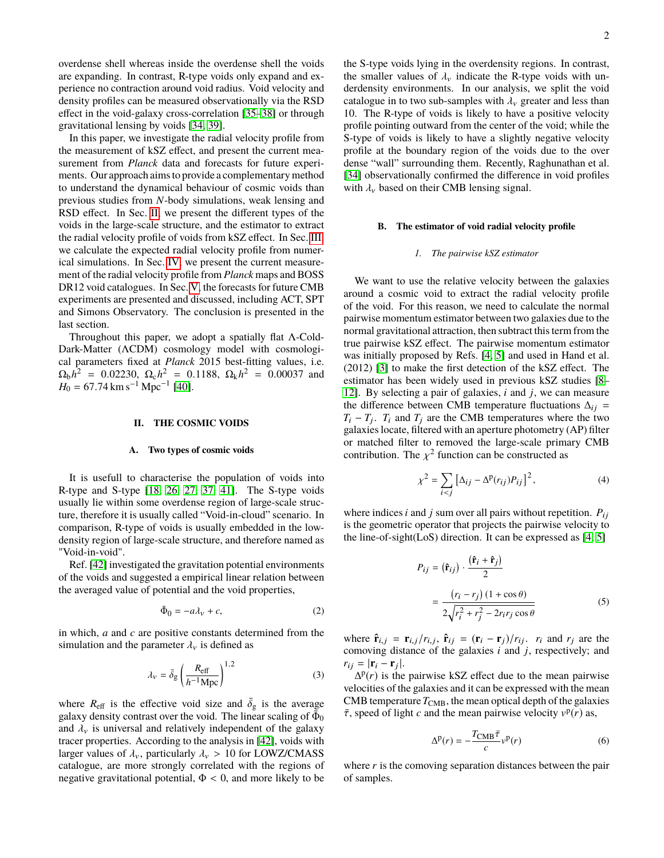overdense shell whereas inside the overdense shell the voids are expanding. In contrast, R-type voids only expand and experience no contraction around void radius. Void velocity and density profiles can be measured observationally via the RSD effect in the void-galaxy cross-correlation [\[35](#page-11-11)[–38\]](#page-11-12) or through gravitational lensing by voids [\[34,](#page-11-10) [39\]](#page-11-13).

In this paper, we investigate the radial velocity profile from the measurement of kSZ effect, and present the current measurement from *Planck* data and forecasts for future experiments. Our approach aims to provide a complementary method to understand the dynamical behaviour of cosmic voids than previous studies from *N*-body simulations, weak lensing and RSD effect. In Sec. [II,](#page-1-0) we present the different types of the voids in the large-scale structure, and the estimator to extract the radial velocity profile of voids from kSZ effect. In Sec. [III,](#page-2-0) we calculate the expected radial velocity profile from numerical simulations. In Sec. [IV,](#page-4-0) we present the current measurement of the radial velocity profile from *Planck* maps and BOSS DR12 void catalogues. In Sec. [V,](#page-7-0) the forecasts for future CMB experiments are presented and discussed, including ACT, SPT and Simons Observatory. The conclusion is presented in the last section.

Throughout this paper, we adopt a spatially flat Λ-Cold-Dark-Matter (ΛCDM) cosmology model with cosmological parameters fixed at *Planck* 2015 best-fitting values, i.e.  $\Omega_b h^2 = 0.02230$ ,  $\Omega_c h^2 = 0.1188$ ,  $\Omega_k h^2 = 0.00037$  and<br>  $H_0 = 67.74$  km s<sup>-1</sup> Mnc<sup>-1</sup> [40]  $H_0 = 67.74 \text{ km s}^{-1} \text{ Mpc}^{-1}$  [\[40\]](#page-11-14).

### <span id="page-1-0"></span>**II. THE COSMIC VOIDS**

#### **A. Two types of cosmic voids**

It is usefull to characterise the population of voids into R-type and S-type [\[18,](#page-10-17) [26,](#page-11-15) [27,](#page-11-16) [37,](#page-11-17) [41\]](#page-11-18). The S-type voids usually lie within some overdense region of large-scale structure, therefore it is usually called "Void-in-cloud" scenario. In comparison, R-type of voids is usually embedded in the lowdensity region of large-scale structure, and therefore named as "Void-in-void".

Ref. [\[42\]](#page-11-19) investigated the gravitation potential environments of the voids and suggested a empirical linear relation between the averaged value of potential and the void properties,

$$
\bar{\Phi}_0 = -a\lambda_v + c,\tag{2}
$$

in which, *a* and *c* are positive constants determined from the simulation and the parameter  $\lambda_{\nu}$  is defined as

$$
\lambda_{\nu} = \bar{\delta}_{g} \left( \frac{R_{\text{eff}}}{h^{-1} \text{Mpc}} \right)^{1.2} \tag{3}
$$

where  $R_{\text{eff}}$  is the effective void size and  $\bar{\delta}_{g}$  is the average valaxy density contrast over the void. The linear scaling of  $\bar{\Phi}_{0}$ galaxy density contrast over the void. The linear scaling of  $\bar{\Phi}_0$ and  $\lambda_{\nu}$  is universal and relatively independent of the galaxy tracer properties. According to the analysis in [\[42\]](#page-11-19), voids with larger values of  $\lambda_v$ , particularly  $\lambda_v > 10$  for LOWZ/CMASS catalogue, are more strongly correlated with the regions of negative gravitational potential,  $\Phi < 0$ , and more likely to be

the S-type voids lying in the overdensity regions. In contrast, the smaller values of  $\lambda_{\nu}$  indicate the R-type voids with underdensity environments. In our analysis, we split the void catalogue in to two sub-samples with  $\lambda_{\nu}$  greater and less than 10. The R-type of voids is likely to have a positive velocity profile pointing outward from the center of the void; while the S-type of voids is likely to have a slightly negative velocity profile at the boundary region of the voids due to the over dense "wall" surrounding them. Recently, Raghunathan et al. [\[34\]](#page-11-10) observationally confirmed the difference in void profiles with  $\lambda_{\nu}$  based on their CMB lensing signal.

### **B. The estimator of void radial velocity profile**

#### *1. The pairwise kSZ estimator*

We want to use the relative velocity between the galaxies around a cosmic void to extract the radial velocity profile of the void. For this reason, we need to calculate the normal pairwise momentum estimator between two galaxies due to the normal gravitational attraction, then subtract this term from the true pairwise kSZ effect. The pairwise momentum estimator was initially proposed by Refs. [\[4,](#page-10-3) [5\]](#page-10-4) and used in Hand et al. (2012) [\[3\]](#page-10-2) to make the first detection of the kSZ effect. The estimator has been widely used in previous kSZ studies [\[8–](#page-10-7) [12\]](#page-10-11). By selecting a pair of galaxies, *i* and *j*, we can measure the difference between CMB temperature fluctuations  $\Delta_{ij}$  =  $T_i - T_j$ . *T<sub>i</sub>* and  $T_j$  are the CMB temperatures where the two galaxies locate, filtered with an aperture photometry (AP) filter or matched filter to removed the large-scale primary CMB contribution. The  $\chi^2$  function can be constructed as

$$
\chi^2 = \sum_{i < j} \left[ \Delta_{ij} - \Delta^{\mathcal{P}}(r_{ij}) P_{ij} \right]^2,\tag{4}
$$

where indices  $i$  and  $j$  sum over all pairs without repetition.  $P_{ij}$ is the geometric operator that projects the pairwise velocity to the line-of-sight(LoS) direction. It can be expressed as [\[4,](#page-10-3) [5\]](#page-10-4)

$$
P_{ij} = (\hat{\mathbf{r}}_{ij}) \cdot \frac{(\hat{\mathbf{r}}_i + \hat{\mathbf{r}}_j)}{2}
$$
  
= 
$$
\frac{(r_i - r_j)(1 + \cos \theta)}{2\sqrt{r_i^2 + r_j^2 - 2r_ir_j \cos \theta}}
$$
(5)

where  $\hat{\mathbf{r}}_{i,j} = \mathbf{r}_{i,j}/r_{i,j}$ ,  $\hat{\mathbf{r}}_{ij} = (\mathbf{r}_i - \mathbf{r}_j)/r_{ij}$ .  $r_i$  and  $r_j$  are the composing distance of the galaxies *i* and *i* respectively; and comoving distance of the galaxies *i* and *j*, respectively; and  $r_{ij} = |\mathbf{r}_i - \mathbf{r}_j|.$ 

 $\Delta^p(r)$  is the pairwise kSZ effect due to the mean pairwise velocities of the galaxies and it can be expressed with the mean CMB temperature  $T_{\text{CMB}}$ , the mean optical depth of the galaxies  $\bar{\tau}$ , speed of light *c* and the mean pairwise velocity  $v^p(r)$  as,

<span id="page-1-1"></span>
$$
\Delta^{\mathbf{p}}(r) = -\frac{T_{\text{CMB}}\bar{\tau}}{c}v^{\mathbf{p}}(r)
$$
 (6)

where *r* is the comoving separation distances between the pair of samples.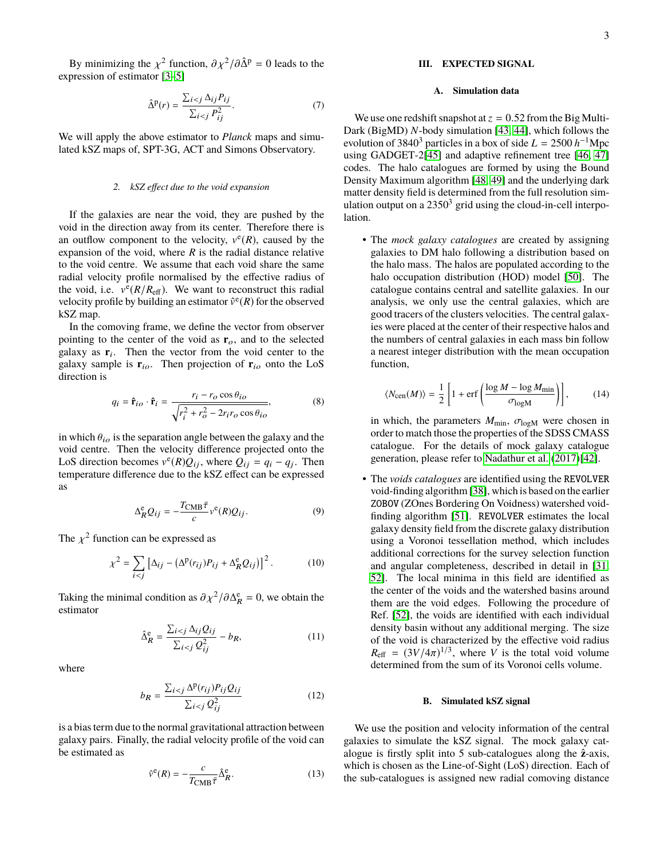3

By minimizing the  $\chi^2$  function,  $\partial \chi^2 / \partial \hat{\Delta}^p = 0$  leads to the pression of estimator [3–5] expression of estimator [\[3](#page-10-2)[–5\]](#page-10-4)

$$
\hat{\Delta}^p(r) = \frac{\sum_{i < j} \Delta_{ij} P_{ij}}{\sum_{i < j} P_{ij}^2}.\tag{7}
$$

We will apply the above estimator to *Planck* maps and simulated kSZ maps of, SPT-3G, ACT and Simons Observatory.

#### *2. kSZ effect due to the void expansion*

If the galaxies are near the void, they are pushed by the void in the direction away from its center. Therefore there is an outflow component to the velocity,  $v^{e}(R)$ , caused by the expansion of the void, where  $R$  is the radial distance relative to the void centre. We assume that each void share the same radial velocity profile normalised by the effective radius of the void, i.e.  $v^{\bar{e}}(R/R_{\text{eff}})$ . We want to reconstruct this radial velocity profile by building an estimator  $\hat{v}^e(R)$  for the observed kSZ map.

In the comoving frame, we define the vector from observer pointing to the center of the void as  $\mathbf{r}_o$ , and to the selected galaxy as  $\mathbf{r}_i$ . Then the vector from the void center to the galaxy sample is  $\mathbf{r}_{io}$ . Then projection of  $\mathbf{r}_{io}$  onto the LoS direction is

$$
q_i = \hat{\mathbf{r}}_{io} \cdot \hat{\mathbf{r}}_i = \frac{r_i - r_o \cos \theta_{io}}{\sqrt{r_i^2 + r_o^2 - 2r_i r_o \cos \theta_{io}}},\tag{8}
$$

in which  $\theta_{io}$  is the separation angle between the galaxy and the void centre. Then the velocity difference projected onto the LoS direction becomes  $v^e(R)Q_{ij}$ , where  $Q_{ij} = q_i - q_j$ . Then temperature difference due to the kSZ effect can be expressed as

$$
\Delta_R^{\rm e} Q_{ij} = -\frac{T_{\rm CMB}\bar{\tau}}{c} v^{\rm e}(R) Q_{ij}.
$$
 (9)

The  $\chi^2$  function can be expressed as

$$
\chi^2 = \sum_{i < j} \left[ \Delta_{ij} - \left( \Delta^{\mathbf{p}}(r_{ij}) P_{ij} + \Delta^{\mathbf{e}}_{R} Q_{ij} \right) \right]^2. \tag{10}
$$

Taking the minimal condition as  $\partial \chi^2 / \partial \Delta_R^e = 0$ , we obtain the estimator estimator

$$
\hat{\Delta}_{R}^{\text{e}} = \frac{\sum_{i < j} \Delta_{ij} Q_{ij}}{\sum_{i < j} Q_{ij}^{2}} - b_{R},\tag{11}
$$

where

$$
b_R = \frac{\sum_{i < j} \Delta^{\text{p}}(r_{ij}) P_{ij} Q_{ij}}{\sum_{i < j} Q_{ij}^2} \tag{12}
$$

is a bias term due to the normal gravitational attraction between galaxy pairs. Finally, the radial velocity profile of the void can be estimated as

$$
\hat{\nu}^e(R) = -\frac{c}{T_{\text{CMB}}\bar{\tau}}\hat{\Delta}_R^e.
$$
 (13)

## <span id="page-2-0"></span>**III. EXPECTED SIGNAL**

### **A. Simulation data**

We use one redshift snapshot at  $z = 0.52$  from the Big Multi-Dark (BigMD) *N*-body simulation [\[43,](#page-11-20) [44\]](#page-11-21), which follows the evolution of 3840<sup>3</sup> particles in a box of side  $L = 2500 h^{-1}$ Mpc using GADGET-2[\[45\]](#page-11-22) and adaptive refinement tree [\[46,](#page-11-23) [47\]](#page-11-24) codes. The halo catalogues are formed by using the Bound Density Maximum algorithm [\[48,](#page-11-25) [49\]](#page-11-26) and the underlying dark matter density field is determined from the full resolution simulation output on a  $2350<sup>3</sup>$  grid using the cloud-in-cell interpolation.

• The *mock galaxy catalogues* are created by assigning galaxies to DM halo following a distribution based on the halo mass. The halos are populated according to the halo occupation distribution (HOD) model [\[50\]](#page-11-27). The catalogue contains central and satellite galaxies. In our analysis, we only use the central galaxies, which are good tracers of the clusters velocities. The central galaxies were placed at the center of their respective halos and the numbers of central galaxies in each mass bin follow a nearest integer distribution with the mean occupation function,

$$
\langle N_{\rm cen}(M) \rangle = \frac{1}{2} \left[ 1 + \text{erf} \left( \frac{\log M - \log M_{\rm min}}{\sigma_{\rm log M}} \right) \right],\tag{14}
$$

in which, the parameters  $M_{\text{min}}$ ,  $\sigma_{\text{log}M}$  were chosen in order to match those the properties of the SDSS CMASS catalogue. For the details of mock galaxy catalogue generation, please refer to [Nadathur et al.](#page-11-19) [\(2017\)\[42\]](#page-11-19).

• The *voids catalogues* are identified using the REVOLVER void-finding algorithm [\[38\]](#page-11-12), which is based on the earlier ZOBOV (ZOnes Bordering On Voidness) watershed voidfinding algorithm [\[51\]](#page-11-28). REVOLVER estimates the local galaxy density field from the discrete galaxy distribution using a Voronoi tessellation method, which includes additional corrections for the survey selection function and angular completeness, described in detail in [\[31,](#page-11-29) [52\]](#page-11-30). The local minima in this field are identified as the center of the voids and the watershed basins around them are the void edges. Following the procedure of Ref. [\[52\]](#page-11-30), the voids are identified with each individual density basin without any additional merging. The size of the void is characterized by the effective void radius  $R_{\text{eff}} = (3V/4\pi)^{1/3}$ , where *V* is the total void volume<br>determined from the sum of its Voronoi cells volume determined from the sum of its Voronoi cells volume.

#### <span id="page-2-3"></span>**B. Simulated kSZ signal**

<span id="page-2-2"></span><span id="page-2-1"></span>We use the position and velocity information of the central galaxies to simulate the kSZ signal. The mock galaxy catalogue is firstly split into 5 sub-catalogues along the **z**ˆ-axis, which is chosen as the Line-of-Sight (LoS) direction. Each of the sub-catalogues is assigned new radial comoving distance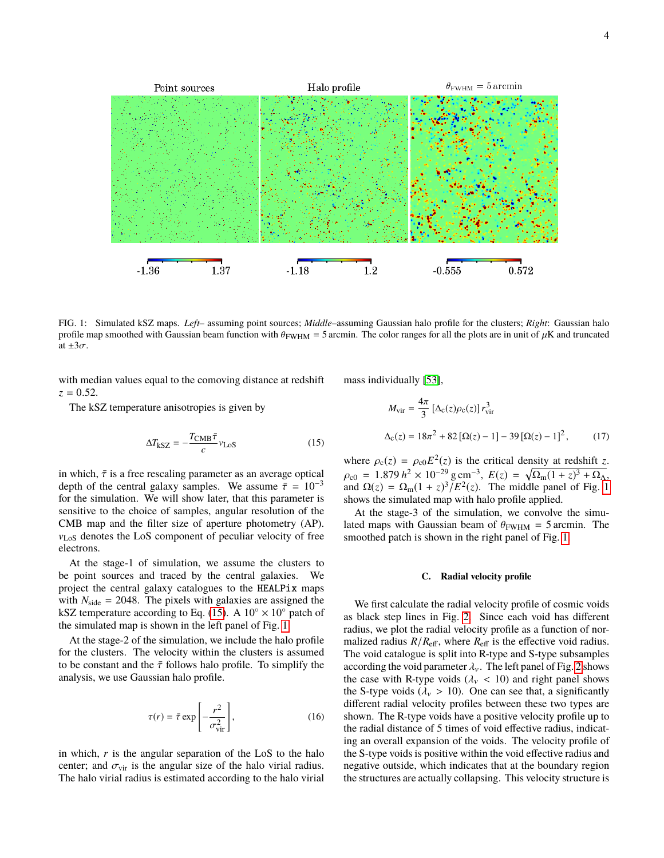$\theta_{\rm FWHM}=5\,\rm arcmin$ Halo profile Point sources 1.37 0.572  $-1.36$  $-1.18$  $1.2$  $-0.555$ 

<span id="page-3-1"></span>FIG. 1: Simulated kSZ maps. *Left*– assuming point sources; *Middle*–assuming Gaussian halo profile for the clusters; *Right*: Gaussian halo profile map smoothed with Gaussian beam function with  $\theta_{\rm FWHM} = 5$  arcmin. The color ranges for all the plots are in unit of  $\mu$ K and truncated at  $\pm 3\sigma$ .

with median values equal to the comoving distance at redshift  $z = 0.52$ .

The kSZ temperature anisotropies is given by

$$
\Delta T_{\text{kSZ}} = -\frac{T_{\text{CMB}}\bar{\tau}}{c} v_{\text{LoS}} \tag{15}
$$

in which,  $\bar{\tau}$  is a free rescaling parameter as an average optical depth of the central galaxy samples. We assume  $\bar{\tau} = 10^{-3}$ for the simulation. We will show later, that this parameter is sensitive to the choice of samples, angular resolution of the CMB map and the filter size of aperture photometry (AP). vLoS denotes the LoS component of peculiar velocity of free electrons.

At the stage-1 of simulation, we assume the clusters to be point sources and traced by the central galaxies. We project the central galaxy catalogues to the HEALPix maps with  $N_{\text{side}} = 2048$ . The pixels with galaxies are assigned the kSZ temperature according to Eq. [\(15\)](#page-3-0). A  $10^{\circ} \times 10^{\circ}$  patch of the simulated map is shown in the left panel of Fig. [1.](#page-3-1)

At the stage-2 of the simulation, we include the halo profile for the clusters. The velocity within the clusters is assumed to be constant and the  $\bar{\tau}$  follows halo profile. To simplify the analysis, we use Gaussian halo profile.

$$
\tau(r) = \bar{\tau} \exp\left[-\frac{r^2}{\sigma_{\text{vir}}^2}\right],\tag{16}
$$

in which, *r* is the angular separation of the LoS to the halo center; and  $\sigma_{\text{vir}}$  is the angular size of the halo virial radius. The halo virial radius is estimated according to the halo virial mass individually [\[53\]](#page-11-31),

$$
M_{\rm vir} = \frac{4\pi}{3} \left[ \Delta_{\rm c}(z) \rho_{\rm c}(z) \right] r_{\rm vir}^3
$$
  

$$
\Delta_{\rm c}(z) = 18\pi^2 + 82 \left[ \Omega(z) - 1 \right] - 39 \left[ \Omega(z) - 1 \right]^2, \qquad (17)
$$

<span id="page-3-0"></span>where  $\rho_c(z) = \rho_{c0} E^2(z)$  is the critical density at redshift *z*.  $\rho_{c0} = 1.879 h^2 \times 10^{-29} \text{ g cm}^{-3}, E(z) = \sqrt{\Omega_m (1+z)^3 + \Omega_A},$ <br>and  $\Omega(z) = \Omega_c (1+z)^3 / E^2(z)$ . The middle panel of Fig. 1 and  $\Omega(z) = \Omega_{\rm m}(1+z)^3/E^2(z)$ . The middle panel of Fig. [1](#page-3-1) shows the simulated map with halo profile applied.

At the stage-3 of the simulation, we convolve the simulated maps with Gaussian beam of  $\theta_{\text{FWHM}} = 5$  arcmin. The smoothed patch is shown in the right panel of Fig. [1.](#page-3-1)

#### **C. Radial velocity profile**

We first calculate the radial velocity profile of cosmic voids as black step lines in Fig. [2.](#page-4-1) Since each void has different radius, we plot the radial velocity profile as a function of normalized radius  $R/R_{\text{eff}}$ , where  $R_{\text{eff}}$  is the effective void radius. The void catalogue is split into R-type and S-type subsamples according the void parameter  $\lambda_{\nu}$ . The left panel of Fig. [2](#page-4-1) shows the case with R-type voids ( $\lambda$ <sub>v</sub> < 10) and right panel shows the S-type voids ( $\lambda$ <sub>v</sub> > 10). One can see that, a significantly different radial velocity profiles between these two types are shown. The R-type voids have a positive velocity profile up to the radial distance of 5 times of void effective radius, indicating an overall expansion of the voids. The velocity profile of the S-type voids is positive within the void effective radius and negative outside, which indicates that at the boundary region the structures are actually collapsing. This velocity structure is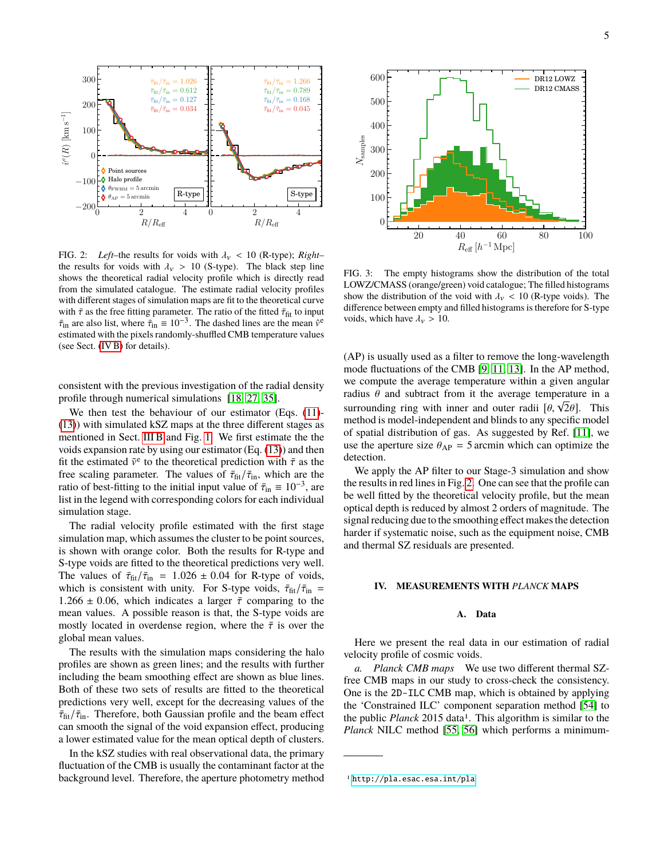

<span id="page-4-1"></span>FIG. 2: *Left*–the results for voids with  $\lambda_v$  < 10 (R-type); *Right*– the results for voids with  $\lambda_v > 10$  (S-type). The black step line shows the theoretical radial velocity profile which is directly read from the simulated catalogue. The estimate radial velocity profiles with different stages of simulation maps are fit to the theoretical curve with  $\bar{\tau}$  as the free fitting parameter. The ratio of the fitted  $\bar{\tau}_{\text{fit}}$  to input  $\bar{\tau}_{in}$  are also list, where  $\bar{\tau}_{in} \equiv 10^{-3}$ . The dashed lines are the mean  $\hat{v}^e$  estimated with the pixels randomly-shuffled CMB temperature values estimated with the pixels randomly-shuffled CMB temperature values (see Sect. [\(IV B\)](#page-5-0) for details).

consistent with the previous investigation of the radial density profile through numerical simulations [\[18,](#page-10-17) [27,](#page-11-16) [35\]](#page-11-11).

We then test the behaviour of our estimator (Eqs.  $(11)$ -[\(13\)](#page-2-2)) with simulated kSZ maps at the three different stages as mentioned in Sect. [III B](#page-2-3) and Fig. [1.](#page-3-1) We first estimate the the voids expansion rate by using our estimator (Eq. [\(13\)](#page-2-2)) and then fit the estimated  $\tilde{v}^e$  to the theoretical prediction with  $\bar{\tau}$  as the theoretical prediction with  $\bar{\tau}$  as the theoretical prediction are the free scaling parameter. The values of  $\bar{\tau}_{\text{fit}}/\bar{\tau}_{\text{in}}$ , which are the ratio of best-fitting to the initial input value of  $\bar{\tau}_{in} \equiv 10^{-3}$ , are<br>list in the legend with corresponding colors for each individual list in the legend with corresponding colors for each individual simulation stage.

The radial velocity profile estimated with the first stage simulation map, which assumes the cluster to be point sources, is shown with orange color. Both the results for R-type and S-type voids are fitted to the theoretical predictions very well. The values of  $\bar{\tau}_{\text{fit}}/\bar{\tau}_{\text{in}} = 1.026 \pm 0.04$  for R-type of voids, which is consistent with unity. For S-type voids,  $\bar{\tau}_{\text{fit}}/\bar{\tau}_{\text{in}} =$ 1.266  $\pm$  0.06, which indicates a larger  $\bar{\tau}$  comparing to the mean values. A possible reason is that, the S-type voids are mostly located in overdense region, where the  $\bar{\tau}$  is over the global mean values.

The results with the simulation maps considering the halo profiles are shown as green lines; and the results with further including the beam smoothing effect are shown as blue lines. Both of these two sets of results are fitted to the theoretical predictions very well, except for the decreasing values of the  $\bar{\tau}_{\rm fit}/\bar{\tau}_{\rm in}$ . Therefore, both Gaussian profile and the beam effect can smooth the signal of the void expansion effect, producing a lower estimated value for the mean optical depth of clusters.

In the kSZ studies with real observational data, the primary fluctuation of the CMB is usually the contaminant factor at the background level. Therefore, the aperture photometry method



<span id="page-4-2"></span>FIG. 3: The empty histograms show the distribution of the total LOWZ/CMASS (orange/green) void catalogue; The filled histograms show the distribution of the void with  $\lambda_{\nu}$  < 10 (R-type voids). The difference between empty and filled histograms is therefore for S-type voids, which have  $\lambda_v > 10$ .

(AP) is usually used as a filter to remove the long-wavelength mode fluctuations of the CMB [\[9,](#page-10-8) [11,](#page-10-10) [13\]](#page-10-12). In the AP method, we compute the average temperature within a given angular radius  $\theta$  and subtract from it the average temperature in a Fracture in a subtract from it the average temperature in a<br>surrounding ring with inner and outer radii  $[\theta, \sqrt{2}\theta]$ . This<br>method is model-independent and blinds to any specific model method is model-independent and blinds to any specific model of spatial distribution of gas. As suggested by Ref. [\[11\]](#page-10-10), we use the aperture size  $\theta_{AP} = 5$  arcmin which can optimize the detection.

We apply the AP filter to our Stage-3 simulation and show the results in red lines in Fig. [2.](#page-4-1) One can see that the profile can be well fitted by the theoretical velocity profile, but the mean optical depth is reduced by almost 2 orders of magnitude. The signal reducing due to the smoothing effect makes the detection harder if systematic noise, such as the equipment noise, CMB and thermal SZ residuals are presented.

#### <span id="page-4-0"></span>**IV. MEASUREMENTS WITH** *PLANCK* **MAPS**

### **A. Data**

Here we present the real data in our estimation of radial velocity profile of cosmic voids.

*a. Planck CMB maps* We use two different thermal SZfree CMB maps in our study to cross-check the consistency. One is the 2D-ILC CMB map, which is obtained by applying the 'Constrained ILC' component separation method [\[54\]](#page-11-32) to the public *Planck* 2015 data<sup>1</sup>. This algorithm is similar to the *Planck* NILC method [\[55,](#page-11-33) [56\]](#page-11-34) which performs a minimum-

<sup>1</sup> <http://pla.esac.esa.int/pla>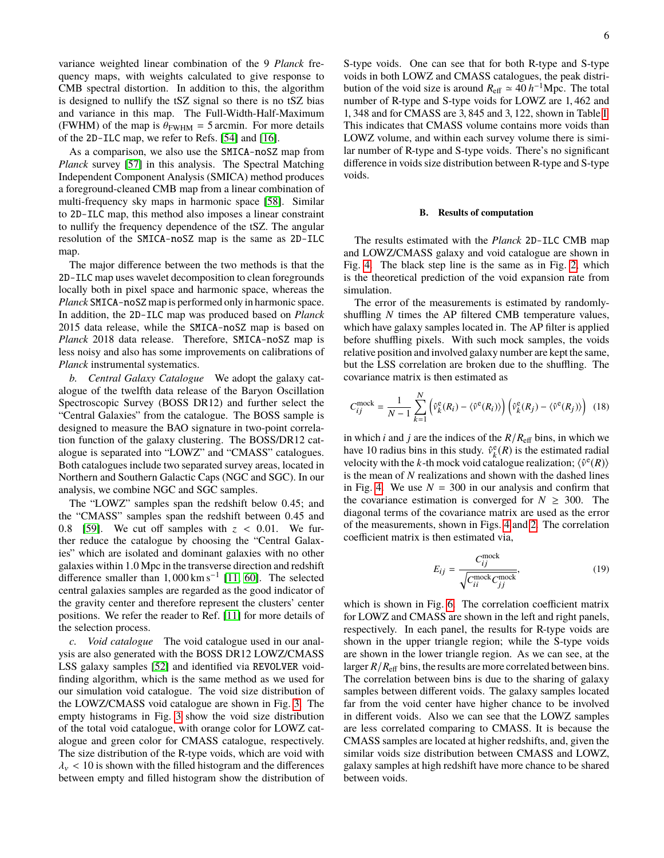variance weighted linear combination of the 9 *Planck* frequency maps, with weights calculated to give response to CMB spectral distortion. In addition to this, the algorithm is designed to nullify the tSZ signal so there is no tSZ bias and variance in this map. The Full-Width-Half-Maximum (FWHM) of the map is  $\theta_{\text{FWHM}} = 5$  arcmin. For more details of the 2D-ILC map, we refer to Refs. [\[54\]](#page-11-32) and [\[16\]](#page-10-15).

As a comparison, we also use the SMICA-noSZ map from *Planck* survey [\[57\]](#page-11-35) in this analysis. The Spectral Matching Independent Component Analysis (SMICA) method produces a foreground-cleaned CMB map from a linear combination of multi-frequency sky maps in harmonic space [\[58\]](#page-11-36). Similar to 2D-ILC map, this method also imposes a linear constraint to nullify the frequency dependence of the tSZ. The angular resolution of the SMICA-noSZ map is the same as 2D-ILC map.

The major difference between the two methods is that the 2D-ILC map uses wavelet decomposition to clean foregrounds locally both in pixel space and harmonic space, whereas the *Planck* SMICA-noSZ map is performed only in harmonic space. In addition, the 2D-ILC map was produced based on *Planck* 2015 data release, while the SMICA-noSZ map is based on *Planck* 2018 data release. Therefore, SMICA-noSZ map is less noisy and also has some improvements on calibrations of *Planck* instrumental systematics.

*b. Central Galaxy Catalogue* We adopt the galaxy catalogue of the twelfth data release of the Baryon Oscillation Spectroscopic Survey (BOSS DR12) and further select the "Central Galaxies" from the catalogue. The BOSS sample is designed to measure the BAO signature in two-point correlation function of the galaxy clustering. The BOSS/DR12 catalogue is separated into "LOWZ" and "CMASS" catalogues. Both catalogues include two separated survey areas, located in Northern and Southern Galactic Caps (NGC and SGC). In our analysis, we combine NGC and SGC samples.

The "LOWZ" samples span the redshift below <sup>0</sup>.45; and the "CMASS" samples span the redshift between <sup>0</sup>.<sup>45</sup> and 0.8 [\[59\]](#page-11-37). We cut off samples with  $z < 0.01$ . We further reduce the catalogue by choosing the "Central Galaxies" which are isolated and dominant galaxies with no other galaxies within 1.0 Mpc in the transverse direction and redshift<br>difference smaller than 1.000 km s<sup>-1</sup> [11,60]. The selected difference smaller than  $1,000 \text{ km s}^{-1}$  [\[11,](#page-10-10) [60\]](#page-11-38). The selected central galaxies samples are regarded as the good indicator of central galaxies samples are regarded as the good indicator of the gravity center and therefore represent the clusters' center positions. We refer the reader to Ref. [\[11\]](#page-10-10) for more details of the selection process.

*c. Void catalogue* The void catalogue used in our analysis are also generated with the BOSS DR12 LOWZ/CMASS LSS galaxy samples [\[52\]](#page-11-30) and identified via REVOLVER voidfinding algorithm, which is the same method as we used for our simulation void catalogue. The void size distribution of the LOWZ/CMASS void catalogue are shown in Fig. [3.](#page-4-2) The empty histograms in Fig. [3](#page-4-2) show the void size distribution of the total void catalogue, with orange color for LOWZ catalogue and green color for CMASS catalogue, respectively. The size distribution of the R-type voids, which are void with  $\lambda_{\rm v}$  < 10 is shown with the filled histogram and the differences between empty and filled histogram show the distribution of S-type voids. One can see that for both R-type and S-type voids in both LOWZ and CMASS catalogues, the peak distribution of the void size is around  $R_{\text{eff}} \simeq 40 \, h^{-1} \text{Mpc}$ . The total number of R-type and S-type voids for LOWZ are <sup>1</sup>, <sup>462</sup> and <sup>1</sup>, <sup>348</sup> and for CMASS are <sup>3</sup>, <sup>845</sup> and <sup>3</sup>, 122, shown in Table [I.](#page-8-0) This indicates that CMASS volume contains more voids than LOWZ volume, and within each survey volume there is similar number of R-type and S-type voids. There's no significant difference in voids size distribution between R-type and S-type voids.

#### <span id="page-5-0"></span>**B. Results of computation**

The results estimated with the *Planck* 2D-ILC CMB map and LOWZ/CMASS galaxy and void catalogue are shown in Fig. [4.](#page-6-0) The black step line is the same as in Fig. [2,](#page-4-1) which is the theoretical prediction of the void expansion rate from simulation.

The error of the measurements is estimated by randomlyshuffling *N* times the AP filtered CMB temperature values, which have galaxy samples located in. The AP filter is applied before shuffling pixels. With such mock samples, the voids relative position and involved galaxy number are kept the same, but the LSS correlation are broken due to the shuffling. The covariance matrix is then estimated as

$$
C_{ij}^{\text{mock}} = \frac{1}{N-1} \sum_{k=1}^{N} \left( \hat{v}_k^{\text{e}}(R_i) - \langle \hat{v}^{\text{e}}(R_i) \rangle \right) \left( \hat{v}_k^{\text{e}}(R_j) - \langle \hat{v}^{\text{e}}(R_j) \rangle \right)
$$
(18)

in which *i* and *j* are the indices of the  $R/R<sub>eff</sub>$  bins, in which we have 10 radius bins in this study.  $\hat{v}_k^e(R)$  is the estimated radial velocity with the *k*-th mock void catalogue realization;  $\langle \hat{v}^e(R) \rangle$ is the mean of *N* realizations and shown with the dashed lines in Fig. [4.](#page-6-0) We use  $N = 300$  in our analysis and confirm that the covariance estimation is converged for  $N \geq 300$ . The diagonal terms of the covariance matrix are used as the error of the measurements, shown in Figs. [4](#page-6-0) and [2.](#page-4-1) The correlation coefficient matrix is then estimated via,

$$
E_{ij} = \frac{C_{ij}^{\text{mock}}}{\sqrt{C_{ii}^{\text{mock}} C_{jj}^{\text{mock}}}},
$$
(19)

which is shown in Fig. [6.](#page-6-1) The correlation coefficient matrix for LOWZ and CMASS are shown in the left and right panels, respectively. In each panel, the results for R-type voids are shown in the upper triangle region; while the S-type voids are shown in the lower triangle region. As we can see, at the larger  $R/R<sub>eff</sub>$  bins, the results are more correlated between bins. The correlation between bins is due to the sharing of galaxy samples between different voids. The galaxy samples located far from the void center have higher chance to be involved in different voids. Also we can see that the LOWZ samples are less correlated comparing to CMASS. It is because the CMASS samples are located at higher redshifts, and, given the similar voids size distribution between CMASS and LOWZ, galaxy samples at high redshift have more chance to be shared between voids.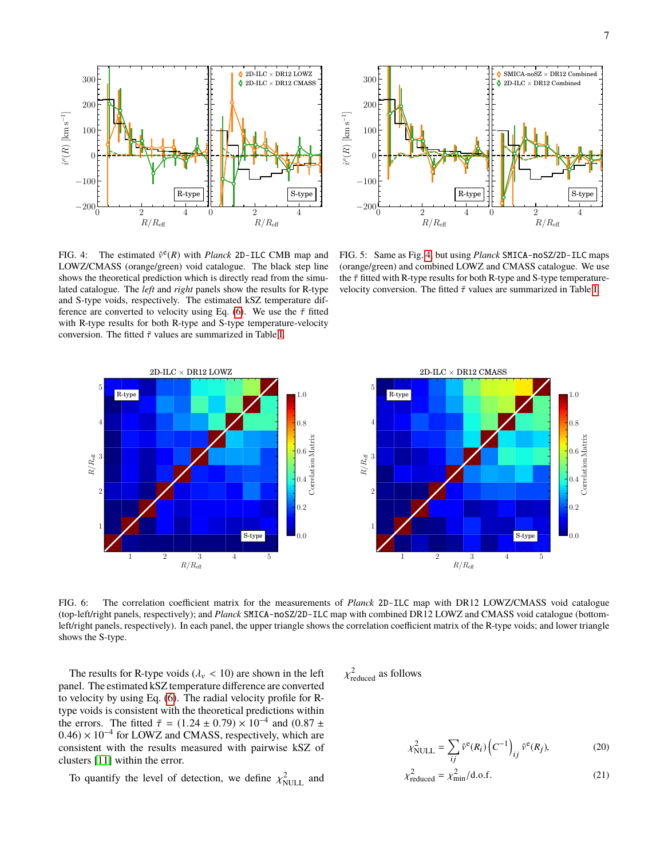



<span id="page-6-0"></span>FIG. 4: The estimated  $\hat{v}^e(R)$  with *Planck* 2D-ILC CMB map and LOWZ/CMASS (orange/green) void catalogue. The black step line shows the theoretical prediction which is directly read from the simulated catalogue. The *left* and *right* panels show the results for R-type and S-type voids, respectively. The estimated kSZ temperature dif-ference are converted to velocity using Eq. [\(6\)](#page-1-1). We use the  $\bar{\tau}$  fitted with R-type results for both R-type and S-type temperature-velocity conversion. The fitted  $\bar{\tau}$  values are summarized in Table [I.](#page-8-0)

<span id="page-6-4"></span>FIG. 5: Same as Fig. [4,](#page-6-0) but using *Planck* SMICA-noSZ/2D-ILC maps (orange/green) and combined LOWZ and CMASS catalogue. We use the  $\bar{\tau}$  fitted with R-type results for both R-type and S-type temperaturevelocity conversion. The fitted  $\bar{\tau}$  values are summarized in Table [I.](#page-8-0)



<span id="page-6-1"></span>FIG. 6: The correlation coefficient matrix for the measurements of *Planck* 2D-ILC map with DR12 LOWZ/CMASS void catalogue (top-left/right panels, respectively); and *Planck* SMICA-noSZ/2D-ILC map with combined DR12 LOWZ and CMASS void catalogue (bottomleft/right panels, respectively). In each panel, the upper triangle shows the correlation coefficient matrix of the R-type voids; and lower triangle shows the S-type.

The results for R-type voids ( $\lambda$ <sub>v</sub> < 10) are shown in the left panel. The estimated kSZ temperature difference are converted to velocity by using Eq. [\(6\)](#page-1-1). The radial velocity profile for Rtype voids is consistent with the theoretical predictions within the errors. The fitted  $\bar{\tau} = (1.24 \pm 0.79) \times 10^{-4}$  and  $(0.87 \pm 0.46) \times 10^{-4}$  for I OWZ and CMASS, respectively which are  $(0.46) \times 10^{-4}$  for LOWZ and CMASS, respectively, which are consistent with the results measured with pairwise kSZ of consistent with the results measured with pairwise kSZ of clusters [\[11\]](#page-10-10) within the error.

To quantify the level of detection, we define  $\chi^2_{\text{NULL}}$  and

 $\ddot{\phantom{a}}$ 2 reduced as follows

<span id="page-6-3"></span><span id="page-6-2"></span>
$$
\chi_{\text{NULL}}^2 = \sum_{ij} \hat{v}^e(R_i) \left( C^{-1} \right)_{ij} \hat{v}^e(R_j), \tag{20}
$$

$$
\chi_{\text{reduced}}^2 = \chi_{\text{min}}^2 / \text{d.o.f.}
$$
 (21)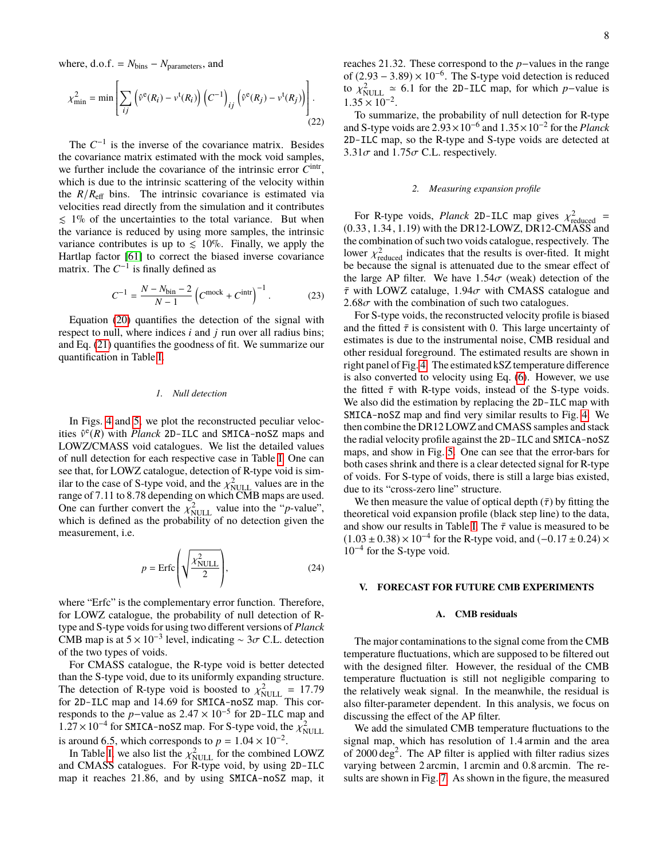where,  $d.o.f. = N_{bins} - N_{parameters}$ , and

$$
\chi_{\min}^2 = \min \left[ \sum_{ij} \left( \hat{v}^e(R_i) - v^t(R_i) \right) \left( C^{-1} \right)_{ij} \left( \hat{v}^e(R_j) - v^t(R_j) \right) \right].
$$
\n(22)

The  $C^{-1}$  is the inverse of the covariance matrix. Besides the covariance matrix estimated with the mock void samples, we further include the covariance of the intrinsic error  $C<sup>intr</sup>$ , which is due to the intrinsic scattering of the velocity within the  $R/R<sub>eff</sub>$  bins. The intrinsic covariance is estimated via velocities read directly from the simulation and it contributes  $\leq 1\%$  of the uncertainties to the total variance. But when the variance is reduced by using more samples, the intrinsic variance contributes is up to  $\leq 10\%$ . Finally, we apply the Hartlap factor [\[61\]](#page-11-39) to correct the biased inverse covariance matrix. The  $C^{-1}$  is finally defined as

$$
C^{-1} = \frac{N - N_{\text{bin}} - 2}{N - 1} \left( C^{\text{mock}} + C^{\text{intr}} \right)^{-1}.
$$
 (23)

Equation [\(20\)](#page-6-2) quantifies the detection of the signal with respect to null, where indices *i* and *j* run over all radius bins; and Eq. [\(21\)](#page-6-3) quantifies the goodness of fit. We summarize our quantification in Table [I.](#page-8-0)

#### *1. Null detection*

In Figs. [4](#page-6-0) and [5,](#page-6-4) we plot the reconstructed peculiar velocities  $\hat{v}^e(R)$  with *Planck* 2D-ILC and SMICA-noSZ maps and LOWZ/CMASS void catalogues. We list the detailed values of null detection for each respective case in Table [I.](#page-8-0) One can see that, for LOWZ catalogue, detection of R-type void is similar to the case of S-type void, and the  $\chi^2_{\text{NULL}}$  values are in the range of 7.11 to 8.78 depending on which CMB maps are used range of <sup>7</sup>.<sup>11</sup> to <sup>8</sup>.<sup>78</sup> depending on which CMB maps are used. One can further convert the  $\chi_{\text{NULL}}^2$  value into the "*p*-value", which is defined as the probability of no detection given the which is defined as the probability of no detection given the measurement, i.e.

$$
p = \text{Erfc}\left(\sqrt{\frac{\chi_{\text{NULL}}^2}{2}}\right),\tag{24}
$$

where "Erfc" is the complementary error function. Therefore, for LOWZ catalogue, the probability of null detection of Rtype and S-type voids for using two different versions of *Planck* CMB map is at  $5 \times 10^{-3}$  level, indicating ~ 3 $\sigma$  C.L. detection<br>of the two types of voids of the two types of voids.

For CMASS catalogue, the R-type void is better detected than the S-type void, due to its uniformly expanding structure. The detection of R-type void is boosted to  $\chi^2_{\text{NULL}} = 17.79$  for 2D-II C map and 14.69 for SMICA-noSZ map. This confor 2D-ILC map and 14.69 for SMICA-noSZ map. This corresponds to the n-value as  $2.47 \times 10^{-5}$  for 2D-II C map and responds to the *p*−value as  $2.47 \times 10^{-5}$  for 2D-ILC map and  $1.27 \times 10^{-4}$  for SMICA-noSZ map. For S-type void, the  $v^2$  $1.27 \times 10^{-4}$  for SMICA-noSZ map. For S-type void, the  $\chi^2_{\text{NULL}}$ <br>is around 6.5, which corresponds to  $n = 1.04 \times 10^{-2}$ is around 6.5, which corresponds to  $p = 1.04 \times 10^{-2}$ .<br>In Table I we also list the  $x^2$  for the combined

In Table [I,](#page-8-0) we also list the  $\chi_{\text{NULL}}^2$  for the combined LOWZ<br>d CMASS catalogues. For R-type yoid, by using 2D-TIC and CMASS catalogues. For R-type void, by using 2D-ILC map it reaches <sup>21</sup>.86, and by using SMICA-noSZ map, it reaches <sup>21</sup>.32. These correspond to the *<sup>p</sup>*−values in the range of  $(2.93 - 3.89) \times 10^{-6}$ . The S-type void detection is reduced<br>to  $y^2 \approx 6.1$  for the 2D-II C map, for which n-value is to  $\chi_{\text{NULL}}^2 \approx 6.1$  for the 2D-ILC map, for which *p*−value is 1.35 × 10<sup>-2</sup>  $1.35 \times 10^{-2}$ .<br>To summare

To summarize, the probability of null detection for R-type and S-type voids are 2.93×10<sup>-6</sup> and 1.35×10<sup>-2</sup> for the *Planck*<br>2D-TIC map, so the R-type and S-type voids are detected at 2D-ILC map, so the R-type and S-type voids are detected at 3.31 $\sigma$  and 1.75 $\sigma$  C.L. respectively.

#### *2. Measuring expansion profile*

For R-type voids, *Planck* 2D-ILC map gives  $\chi^2_{\text{reduced}}$  = 33 1.34 1.19) with the DR12-I OWZ DR12-CMASS and (0.33, <sup>1</sup>.34, <sup>1</sup>.19) with the DR12-LOWZ, DR12-CMASS and the combination of such two voids catalogue, respectively. The lower  $\chi^2_{\text{reduced}}$  indicates that the results is over-fited. It might be because the signal is attenuated due to the smear effect of the large AP filter. We have  $1.54\sigma$  (weak) detection of the  $\bar{\tau}$  with LOWZ cataluge, 1.94 $\sigma$  with CMASS catalogue and  $2.68\sigma$  with the combination of such two catalogues.

For S-type voids, the reconstructed velocity profile is biased and the fitted  $\bar{\tau}$  is consistent with 0. This large uncertainty of estimates is due to the instrumental noise, CMB residual and other residual foreground. The estimated results are shown in right panel of Fig. [4.](#page-6-0) The estimated kSZ temperature difference is also converted to velocity using Eq. [\(6\)](#page-1-1). However, we use the fitted  $\bar{\tau}$  with R-type voids, instead of the S-type voids. We also did the estimation by replacing the 2D-ILC map with SMICA-noSZ map and find very similar results to Fig. [4.](#page-6-0) We then combine the DR12 LOWZ and CMASS samples and stack the radial velocity profile against the 2D-ILC and SMICA-noSZ maps, and show in Fig. [5.](#page-6-4) One can see that the error-bars for both cases shrink and there is a clear detected signal for R-type of voids. For S-type of voids, there is still a large bias existed, due to its "cross-zero line" structure.

We then measure the value of optical depth  $(\bar{\tau})$  by fitting the theoretical void expansion profile (black step line) to the data, and show our results in Table [I.](#page-8-0) The  $\bar{\tau}$  value is measured to be  $(1.03 \pm 0.38) \times 10^{-4}$  for the R-type void, and  $(-0.17 \pm 0.24) \times 10^{-4}$  for the S-type void 10−<sup>4</sup> for the S-type void.

### <span id="page-7-0"></span>**V. FORECAST FOR FUTURE CMB EXPERIMENTS**

#### **A. CMB residuals**

The major contaminations to the signal come from the CMB temperature fluctuations, which are supposed to be filtered out with the designed filter. However, the residual of the CMB temperature fluctuation is still not negligible comparing to the relatively weak signal. In the meanwhile, the residual is also filter-parameter dependent. In this analysis, we focus on discussing the effect of the AP filter.

We add the simulated CMB temperature fluctuations to the signal map, which has resolution of <sup>1</sup>.4 armin and the area of  $2000 \text{ deg}^2$ . The AP filter is applied with filter radius sizes varying between 2 arcmin, 1 arcmin and <sup>0</sup>.8 arcmin. The results are shown in Fig. [7.](#page-8-1) As shown in the figure, the measured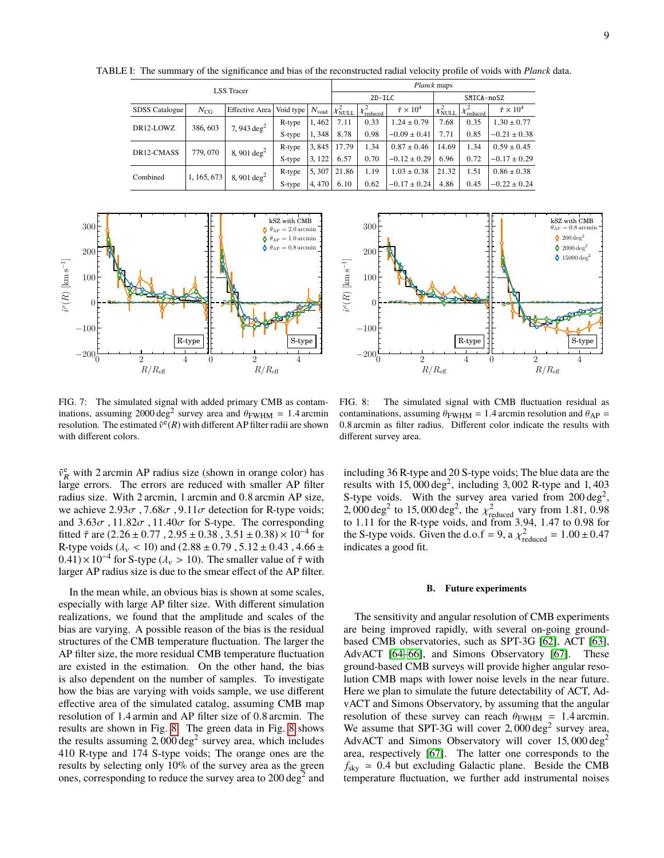TABLE I: The summary of the significance and bias of the reconstructed radial velocity profile of voids with *Planck* data.

<span id="page-8-0"></span>

| <b>LSS</b> Tracer     |             |                       |           |                   | Planck maps          |                           |                          |                     |                           |                          |  |
|-----------------------|-------------|-----------------------|-----------|-------------------|----------------------|---------------------------|--------------------------|---------------------|---------------------------|--------------------------|--|
|                       |             |                       |           |                   | $2D-TLC$             |                           |                          | SMICA-noSZ          |                           |                          |  |
| <b>SDSS Catalogue</b> | $N_{CG}$    | Effective Area        | Void type | $N_{\text{void}}$ | $ \chi^2_{\rm NULL}$ | $\chi^2_{\text{reduced}}$ | $\bar{\tau} \times 10^4$ | $\chi^2_{\rm NULL}$ | $\chi^2_{\text{reduced}}$ | $\bar{\tau} \times 10^4$ |  |
| DR12-LOWZ             | 386, 603    | 7, 943 $deg2$         | R-type    | 1,462             | 7.11                 | 0.33                      | $1.24 \pm 0.79$          | 7.68                | 0.35                      | $1.30 \pm 0.77$          |  |
|                       |             |                       | S-type    | 1,348             | 8.78                 | 0.98                      | $-0.09 \pm 0.41$         | 7.71                | 0.85                      | $-0.21 \pm 0.38$         |  |
| DR12-CMASS            | 779, 070    | 8, 901 $deg2$         | R-type    | 3,845             | 17.79                | 1.34                      | $0.87 \pm 0.46$          | 14.69               | 1.34                      | $0.59 \pm 0.45$          |  |
|                       |             |                       | S-type    | 3, 122            | 6.57                 | 0.70                      | $-0.12 \pm 0.29$         | 6.96                | 0.72                      | $-0.17 \pm 0.29$         |  |
| Combined              | 1, 165, 673 | 8, 901 $\text{deg}^2$ | R-type    | 5, 307            | 21.86                | 1.19                      | $1.03 \pm 0.38$          | 21.32               | 1.51                      | $0.86 \pm 0.38$          |  |
|                       |             |                       | S-type    | 4,470             | 6.10                 | 0.62                      | $-0.17 \pm 0.24$         | 4.86                | 0.45                      | $-0.22 \pm 0.24$         |  |



0 2 4  $R/R_{\text{eff}}$  $-200\frac{1}{0}$  $-100\,$ 0 100 200 300  $\hat{v}^e(R)$  [km s<sup>-1</sup>] 0 2 4  $R/R_{\rm eff}$ **kSZ** with CMB<br> $\theta_{AP} = 0.8$  arcmin  $\dot{Q}$  200 deg<sup>2</sup>  $\bullet$  2000 deg<sup>2</sup>  $\Phi$  15000 deg<sup>2</sup>  $R$ -type  $\left| \downarrow \right|$   $\left| S$ -type

<span id="page-8-1"></span>FIG. 7: The simulated signal with added primary CMB as contaminations, assuming 2000 deg<sup>2</sup> survey area and  $\theta_{\rm FWHM} = 1.4$  arcmin<br>resolution. The estimated  $\hat{\sigma}^{\rm g}(R)$  with different AP filter radii are shown resolution. The estimated  $\hat{v}^{\in}(R)$  with different AP filter radii are shown with different colors.

 $\tilde{v}_R^e$  with 2 arcmin AP radius size (shown in orange color) has large errors. The errors are reduced with smaller AP filter radius size. With 2 arcmin, 1 arcmin and <sup>0</sup>.8 arcmin AP size, we achieve  $2.93\sigma$ ,  $7.68\sigma$ ,  $9.11\sigma$  detection for R-type voids; and  $3.63\sigma$ ,  $11.82\sigma$ ,  $11.40\sigma$  for S-type. The corresponding fitted  $\bar{\tau}$  are (2.26 ± 0.77, 2.95 ± 0.38, 3.51 ± 0.38) × 10<sup>-4</sup> for<br>R-type yoids (d<sub>es</sub> < 10) and (2.88 + 0.79, 5.12 + 0.43, 4.66 + R-type voids ( $\lambda$ <sub>v</sub> < 10) and (2.88 ± 0.79, 5.12 ± 0.43, 4.66 ±  $(0.41) \times 10^{-4}$  for S-type ( $\lambda_v > 10$ ). The smaller value of  $\bar{\tau}$  with larger AP radius size is due to the smear effect of the AP filter larger AP radius size is due to the smear effect of the AP filter.

In the mean while, an obvious bias is shown at some scales, especially with large AP filter size. With different simulation realizations, we found that the amplitude and scales of the bias are varying. A possible reason of the bias is the residual structures of the CMB temperature fluctuation. The larger the AP filter size, the more residual CMB temperature fluctuation are existed in the estimation. On the other hand, the bias is also dependent on the number of samples. To investigate how the bias are varying with voids sample, we use different effective area of the simulated catalog, assuming CMB map resolution of <sup>1</sup>.4 armin and AP filter size of <sup>0</sup>.8 arcmin. The results are shown in Fig. [8.](#page-8-2) The green data in Fig. [8](#page-8-2) shows the results assuming  $2,000 \text{ deg}^2$  survey area, which includes  $410 \text{ R-type}$  and  $174 \text{ S-type}$  voids: The orange ones are the 410 R-type and 174 S-type voids; The orange ones are the results by selecting only 10% of the survey area as the green ones, corresponding to reduce the survey area to  $200 \text{ deg}^2$  and

<span id="page-8-2"></span>FIG. 8: The simulated signal with CMB fluctuation residual as contaminations, assuming  $\theta_{\rm FWHM} = 1.4$  arcmin resolution and  $\theta_{\rm AP} =$ <sup>0</sup>.8 arcmin as filter radius. Different color indicate the results with different survey area.

including 36 R-type and 20 S-type voids; The blue data are the results with 15,000 deg<sup>2</sup>, including 3,002 R-type and 1,403<br>S-type yoids. With the survey area varied from 200 deg<sup>2</sup> S-type voids. With the survey area varied from  $200 \text{ deg}^2$ , 2, 000 deg<sup>2</sup> to 15, 000 deg<sup>2</sup>, the  $\chi^2$ <sub>reduced</sub> vary from 1.81, 0.98 for 1.11 for the R-type voids and from 3.94, 1.47 to 0.98 for to 1.11 for the R-type voids, and from 3.94, 1.47 to 0.98 for<br>the S-type voids. Given the d o f = 9,  $\frac{1}{2}$   $\frac{1}{2}$  = 1.00 + 0.47 the S-type voids. Given the d.o.f = 9, a  $\chi^2_{\text{reduced}} = 1.00 \pm 0.47$ <br>indicates a good fit indicates a good fit.

#### **B. Future experiments**

The sensitivity and angular resolution of CMB experiments are being improved rapidly, with several on-going groundbased CMB observatories, such as SPT-3G [\[62\]](#page-11-40), ACT [\[63\]](#page-11-41), AdvACT [\[64–](#page-11-42)[66\]](#page-12-0), and Simons Observatory [\[67\]](#page-12-1). These ground-based CMB surveys will provide higher angular resolution CMB maps with lower noise levels in the near future. Here we plan to simulate the future detectability of ACT, AdvACT and Simons Observatory, by assuming that the angular resolution of these survey can reach  $\theta_{\text{FWHM}} = 1.4$  arcmin. We assume that SPT-3G will cover 2,000 deg<sup>2</sup> survey area,<br>AdvACT and Simons Observatory will cover 15,000 deg<sup>2</sup> AdvACT and Simons Observatory will cover  $15,000 \text{ deg}^2$ area, respectively [\[67\]](#page-12-1). The latter one corresponds to the  $f_{\text{sky}} \approx 0.4$  but excluding Galactic plane. Beside the CMB temperature fluctuation, we further add instrumental noises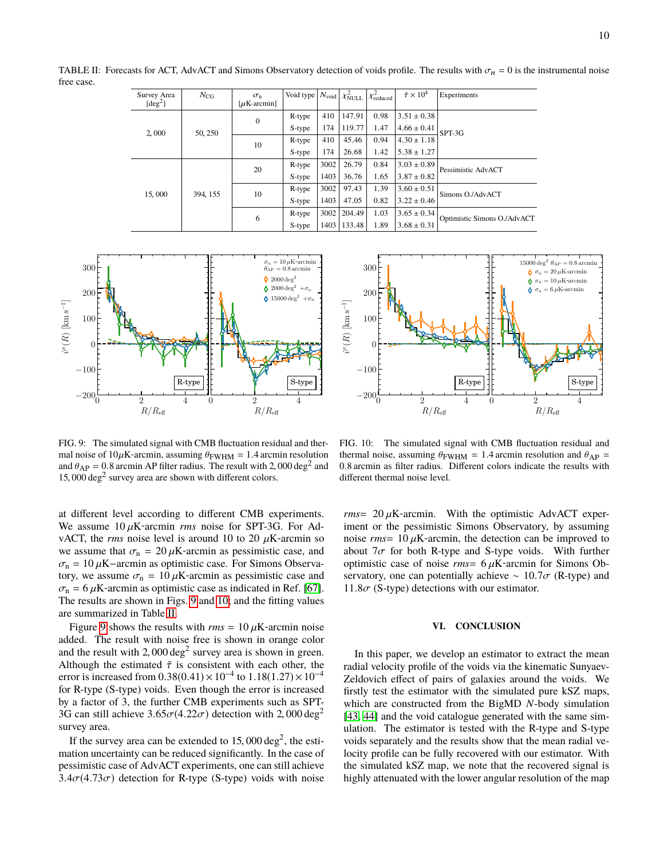TABLE II: Forecasts for ACT, AdvACT and Simons Observatory detection of voids profile. The results with  $\sigma_n = 0$  is the instrumental noise free case.

<span id="page-9-2"></span>

| Survey Area<br>[deg <sup>2</sup> ] | $N_{CG}$ | $\sigma_{\rm n}$<br>[ $\mu$ K-arcmin] | Void type | $N_{\rm void}$ | $\chi^2_{\rm NULL}$ | $\chi^2_{\rm reduced}$ | $\bar{\tau} \times 10^4$ | Experiments                 |  |
|------------------------------------|----------|---------------------------------------|-----------|----------------|---------------------|------------------------|--------------------------|-----------------------------|--|
| 2,000                              | 50, 250  | $\mathbf{0}$                          | R-type    | 410            | 147.91              | 0.98                   | $3.51 \pm 0.38$          |                             |  |
|                                    |          |                                       | S-type    | 174            | 119.77              | 1.47                   | $4.66 \pm 0.41$          | SPT-3G                      |  |
|                                    |          | 10                                    | R-type    | 410            | 45.46               | 0.94                   | $4.30 \pm 1.18$          |                             |  |
|                                    |          |                                       | S-type    | 174            | 26.68               | 1.42                   | $5.38 \pm 1.27$          |                             |  |
| 15,000                             | 394, 155 | 20                                    | R-type    | 3002           | 26.79               | 0.84                   | $3.03 \pm 0.89$          | Pessimistic AdvACT          |  |
|                                    |          |                                       | S-type    | 1403           | 36.76               | 1.65                   | $3.87 \pm 0.82$          |                             |  |
|                                    |          | 10                                    | R-type    | 3002           | 97.43               | 1.39                   | $3.60 \pm 0.51$          | Simons O./AdvACT            |  |
|                                    |          |                                       | S-type    | 1403           | 47.05               | 0.82                   | $3.22 \pm 0.46$          |                             |  |
|                                    |          | 6                                     | R-type    | 3002           | 204.49              | 1.03                   | $3.65 \pm 0.34$          | Optimistic Simons O./AdvACT |  |
|                                    |          |                                       | S-type    | 1403           | 133.48              | 1.89                   | $3.68 \pm 0.31$          |                             |  |



<span id="page-9-0"></span>FIG. 9: The simulated signal with CMB fluctuation residual and thermal noise of  $10\mu$ K-arcmin, assuming  $\theta_{\text{FWHM}} = 1.4$  arcmin resolution and  $\theta_{AP} = 0.8$  arcmin AP filter radius. The result with 2,000 deg<sup>2</sup> and 15,000 deg<sup>2</sup> survey area are shown with different colors  $15,000 \text{ deg}^2$  survey area are shown with different colors.

at different level according to different CMB experiments. We assume  $10 \mu$ K-arcmin *rms* noise for SPT-3G. For AdvACT, the *rms* noise level is around 10 to 20  $\mu$ K-arcmin so we assume that  $\sigma_{\rm n} = 20 \,\mu$ K-arcmin as pessimistic case, and  $\sigma_n = 10 \,\mu\text{K}-\text{arcmin}$  as optimistic case. For Simons Observatory, we assume  $\sigma_{\rm n} = 10 \,\mu{\rm K}$ -arcmin as pessimistic case and  $\sigma_{\rm n}$  = 6  $\mu$ K-arcmin as optimistic case as indicated in Ref. [\[67\]](#page-12-1). The results are shown in Figs. [9](#page-9-0) and [10;](#page-9-1) and the fitting values are summarized in Table [II.](#page-9-2)

Figure [9](#page-9-0) shows the results with  $rms = 10 \mu K$ -arcmin noise added. The result with noise free is shown in orange color and the result with 2,000 deg<sup>2</sup> survey area is shown in green.<br>Although the estimated  $\bar{\tau}$  is consistent with each other the Although the estimated  $\bar{\tau}$  is consistent with each other, the error is increased from  $0.38(0.41) \times 10^{-4}$  to  $1.18(1.27) \times 10^{-4}$ <br>for R-type (S-type) voids. Even though the error is increased for R-type (S-type) voids. Even though the error is increased by a factor of 3, the further CMB experiments such as SPT-3G can still achieve  $3.65\sigma(4.22\sigma)$  detection with 2,000 deg<sup>2</sup> survey area.

If the survey area can be extended to  $15,000 \text{ deg}^2$ , the estition uncertainty can be reduced significantly. In the case of mation uncertainty can be reduced significantly. In the case of pessimistic case of AdvACT experiments, one can still achieve  $3.4\sigma(4.73\sigma)$  detection for R-type (S-type) voids with noise



<span id="page-9-1"></span>FIG. 10: The simulated signal with CMB fluctuation residual and thermal noise, assuming  $\theta_{\text{FWHM}} = 1.4$  arcmin resolution and  $\theta_{\text{AP}} =$ <sup>0</sup>.8 arcmin as filter radius. Different colors indicate the results with different thermal noise level.

 $rms = 20 \mu K$ -arcmin. With the optimistic AdvACT experiment or the pessimistic Simons Observatory, by assuming noise  $rms = 10 \mu K$ -arcmin, the detection can be improved to about  $7\sigma$  for both R-type and S-type voids. With further optimistic case of noise  $rms = 6 \mu K$ -arcmin for Simons Observatory, one can potentially achieve ~ 10.7 $\sigma$  (R-type) and  $11.8\sigma$  (S-type) detections with our estimator.

### **VI. CONCLUSION**

In this paper, we develop an estimator to extract the mean radial velocity profile of the voids via the kinematic Sunyaev-Zeldovich effect of pairs of galaxies around the voids. We firstly test the estimator with the simulated pure kSZ maps, which are constructed from the BigMD *N*-body simulation [\[43,](#page-11-20) [44\]](#page-11-21) and the void catalogue generated with the same simulation. The estimator is tested with the R-type and S-type voids separately and the results show that the mean radial velocity profile can be fully recovered with our estimator. With the simulated kSZ map, we note that the recovered signal is highly attenuated with the lower angular resolution of the map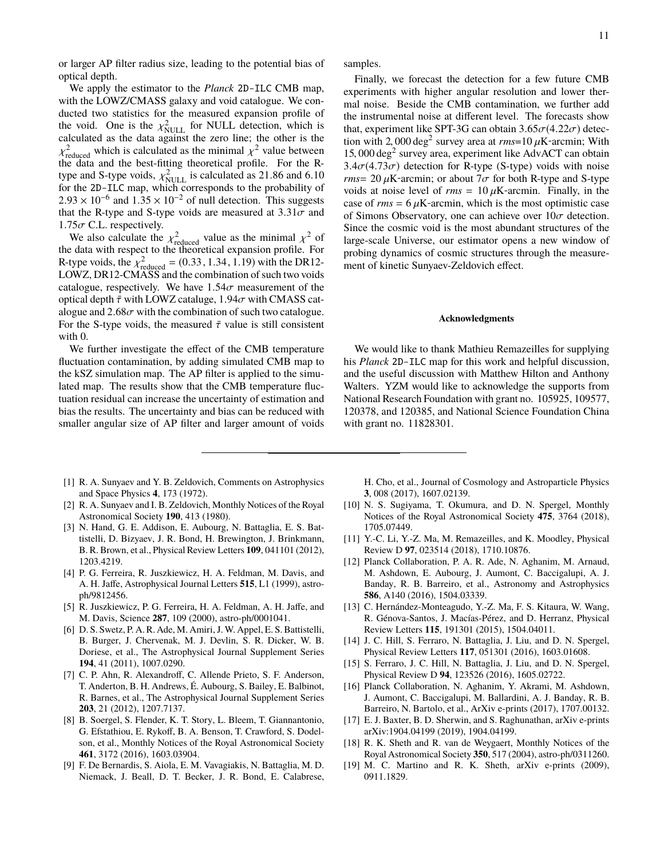or larger AP filter radius size, leading to the potential bias of optical depth.

We apply the estimator to the *Planck* 2D-ILC CMB map, with the LOWZ/CMASS galaxy and void catalogue. We conducted two statistics for the measured expansion profile of the void. One is the  $\chi^2_{\text{NULL}}$  for NULL detection, which is calculated as the data against the zero line; the other is the calculated as the data against the zero line; the other is the <sup>X</sup>reduced<br>the data and the best-fitting theoretical profile. For the R-<sup>2</sup><br>reduced which is calculated as the minimal  $\chi^2$  value between<br>reduced and the best-fitting theoretical profile. For the Rtype and S-type voids,  $\chi^2_{\text{NULL}}$  is calculated as 21.86 and 6.10<br>for the 2D-IIC man, which corresponds to the probability of for the 2D-ILC map, which corresponds to the probability of  $2.93 \times 10^{-6}$  and  $1.35 \times 10^{-2}$  of null detection. This suggests that the R-type and S-type voids are measured at 3.31 $\sigma$  and that the R-type and S-type voids are measured at  $3.31\sigma$  and  $1.75\sigma$  C.L. respectively.  $1.75\sigma$  C.L. respectively.<br>We also calculate the

We also calculate the  $\chi^2_{\text{reduced}}$  value as the minimal  $\chi^2$  of the weak value of the theoretical expansion profile. For the data with respect to the theoretical expansion profile. For R-type voids, the  $\chi^2_{\text{reduced}} = (0.33, 1.34, 1.19)$  with the DR12-<br>LOWZ DR12-CMASS and the combination of such two voids LOWZ, DR12-CMASS and the combination of such two voids catalogue, respectively. We have  $1.54\sigma$  measurement of the optical depth  $\bar{\tau}$  with LOWZ cataluge, 1.94 $\sigma$  with CMASS catalogue and  $2.68\sigma$  with the combination of such two catalogue. For the S-type voids, the measured  $\bar{\tau}$  value is still consistent with  $0$ .

We further investigate the effect of the CMB temperature fluctuation contamination, by adding simulated CMB map to the kSZ simulation map. The AP filter is applied to the simulated map. The results show that the CMB temperature fluctuation residual can increase the uncertainty of estimation and bias the results. The uncertainty and bias can be reduced with smaller angular size of AP filter and larger amount of voids

- <span id="page-10-0"></span>[1] R. A. Sunyaev and Y. B. Zeldovich, Comments on Astrophysics and Space Physics **4**, 173 (1972).
- <span id="page-10-1"></span>[2] R. A. Sunyaev and I. B. Zeldovich, Monthly Notices of the Royal Astronomical Society **190**, 413 (1980).
- <span id="page-10-2"></span>[3] N. Hand, G. E. Addison, E. Aubourg, N. Battaglia, E. S. Battistelli, D. Bizyaev, J. R. Bond, H. Brewington, J. Brinkmann, B. R. Brown, et al., Physical Review Letters **109**, 041101 (2012), 1203.4219.
- <span id="page-10-3"></span>[4] P. G. Ferreira, R. Juszkiewicz, H. A. Feldman, M. Davis, and A. H. Jaffe, Astrophysical Journal Letters **515**, L1 (1999), astroph/9812456.
- <span id="page-10-4"></span>[5] R. Juszkiewicz, P. G. Ferreira, H. A. Feldman, A. H. Jaffe, and M. Davis, Science **287**, 109 (2000), astro-ph/0001041.
- <span id="page-10-5"></span>[6] D. S. Swetz, P. A. R. Ade, M. Amiri, J.W. Appel, E. S. Battistelli, B. Burger, J. Chervenak, M. J. Devlin, S. R. Dicker, W. B. Doriese, et al., The Astrophysical Journal Supplement Series **194**, 41 (2011), 1007.0290.
- <span id="page-10-6"></span>[7] C. P. Ahn, R. Alexandroff, C. Allende Prieto, S. F. Anderson, T. Anderton, B. H. Andrews, É. Aubourg, S. Bailey, E. Balbinot, R. Barnes, et al., The Astrophysical Journal Supplement Series **203**, 21 (2012), 1207.7137.
- <span id="page-10-7"></span>[8] B. Soergel, S. Flender, K. T. Story, L. Bleem, T. Giannantonio, G. Efstathiou, E. Rykoff, B. A. Benson, T. Crawford, S. Dodelson, et al., Monthly Notices of the Royal Astronomical Society **461**, 3172 (2016), 1603.03904.
- <span id="page-10-8"></span>[9] F. De Bernardis, S. Aiola, E. M. Vavagiakis, N. Battaglia, M. D. Niemack, J. Beall, D. T. Becker, J. R. Bond, E. Calabrese,

samples.

Finally, we forecast the detection for a few future CMB experiments with higher angular resolution and lower thermal noise. Beside the CMB contamination, we further add the instrumental noise at different level. The forecasts show that, experiment like SPT-3G can obtain  $3.65\sigma(4.22\sigma)$  detection with 2,000 deg<sup>2</sup> survey area at  $rms=10 \mu$ K-arcmin; With 15,000 deg<sup>2</sup> survey area experiment like AdvACT can obtain 15, 000 deg<sup>2</sup> survey area, experiment like AdvACT can obtain  $3.4\sigma(4.73\sigma)$  detection for R-type (S-type) voids with noise  $3.4\sigma(4.73\sigma)$  detection for R-type (S-type) voids with noise *rms* = 20  $\mu$ K-arcmin; or about  $7\sigma$  for both R-type and S-type voids at noise level of  $rms = 10 \mu K$ -arcmin. Finally, in the case of  $rms = 6 \mu K$ -arcmin, which is the most optimistic case of Simons Observatory, one can achieve over  $10\sigma$  detection. Since the cosmic void is the most abundant structures of the large-scale Universe, our estimator opens a new window of probing dynamics of cosmic structures through the measurement of kinetic Sunyaev-Zeldovich effect.

#### **Acknowledgments**

We would like to thank Mathieu Remazeilles for supplying his *Planck* 2D-ILC map for this work and helpful discussion, and the useful discussion with Matthew Hilton and Anthony Walters. YZM would like to acknowledge the supports from National Research Foundation with grant no. 105925, 109577, 120378, and 120385, and National Science Foundation China with grant no. 11828301.

H. Cho, et al., Journal of Cosmology and Astroparticle Physics **3**, 008 (2017), 1607.02139.

- <span id="page-10-9"></span>[10] N. S. Sugiyama, T. Okumura, and D. N. Spergel, Monthly Notices of the Royal Astronomical Society **475**, 3764 (2018), 1705.07449.
- <span id="page-10-10"></span>[11] Y.-C. Li, Y.-Z. Ma, M. Remazeilles, and K. Moodley, Physical Review D **97**, 023514 (2018), 1710.10876.
- <span id="page-10-11"></span>[12] Planck Collaboration, P. A. R. Ade, N. Aghanim, M. Arnaud, M. Ashdown, E. Aubourg, J. Aumont, C. Baccigalupi, A. J. Banday, R. B. Barreiro, et al., Astronomy and Astrophysics **586**, A140 (2016), 1504.03339.
- <span id="page-10-12"></span>[13] C. Hernández-Monteagudo, Y.-Z. Ma, F. S. Kitaura, W. Wang, R. Génova-Santos, J. Macías-Pérez, and D. Herranz, Physical Review Letters **115**, 191301 (2015), 1504.04011.
- <span id="page-10-13"></span>[14] J. C. Hill, S. Ferraro, N. Battaglia, J. Liu, and D. N. Spergel, Physical Review Letters **117**, 051301 (2016), 1603.01608.
- <span id="page-10-14"></span>[15] S. Ferraro, J. C. Hill, N. Battaglia, J. Liu, and D. N. Spergel, Physical Review D **94**, 123526 (2016), 1605.02722.
- <span id="page-10-15"></span>[16] Planck Collaboration, N. Aghanim, Y. Akrami, M. Ashdown, J. Aumont, C. Baccigalupi, M. Ballardini, A. J. Banday, R. B. Barreiro, N. Bartolo, et al., ArXiv e-prints (2017), 1707.00132.
- <span id="page-10-16"></span>[17] E. J. Baxter, B. D. Sherwin, and S. Raghunathan, arXiv e-prints arXiv:1904.04199 (2019), 1904.04199.
- <span id="page-10-17"></span>[18] R. K. Sheth and R. van de Weygaert, Monthly Notices of the Royal Astronomical Society **350**, 517 (2004), astro-ph/0311260.
- <span id="page-10-18"></span>[19] M. C. Martino and R. K. Sheth, arXiv e-prints (2009), 0911.1829.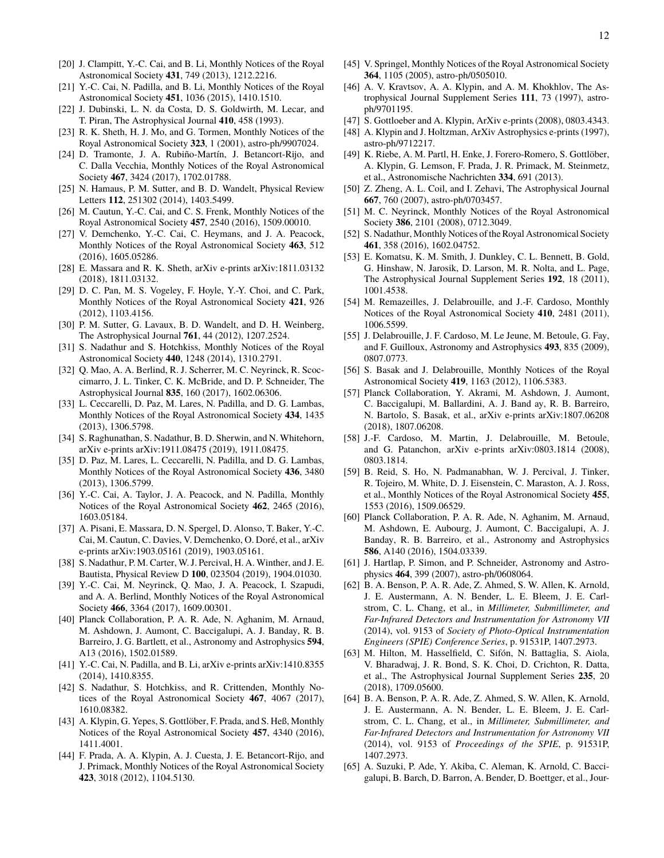- <span id="page-11-0"></span>[20] J. Clampitt, Y.-C. Cai, and B. Li, Monthly Notices of the Royal Astronomical Society **431**, 749 (2013), 1212.2216.
- <span id="page-11-1"></span>[21] Y.-C. Cai, N. Padilla, and B. Li, Monthly Notices of the Royal Astronomical Society **451**, 1036 (2015), 1410.1510.
- <span id="page-11-2"></span>[22] J. Dubinski, L. N. da Costa, D. S. Goldwirth, M. Lecar, and T. Piran, The Astrophysical Journal **410**, 458 (1993).
- <span id="page-11-3"></span>[23] R. K. Sheth, H. J. Mo, and G. Tormen, Monthly Notices of the Royal Astronomical Society **323**, 1 (2001), astro-ph/9907024.
- <span id="page-11-4"></span>[24] D. Tramonte, J. A. Rubiño-Martín, J. Betancort-Rijo, and C. Dalla Vecchia, Monthly Notices of the Royal Astronomical Society **467**, 3424 (2017), 1702.01788.
- <span id="page-11-5"></span>[25] N. Hamaus, P. M. Sutter, and B. D. Wandelt, Physical Review Letters **112**, 251302 (2014), 1403.5499.
- <span id="page-11-15"></span>[26] M. Cautun, Y.-C. Cai, and C. S. Frenk, Monthly Notices of the Royal Astronomical Society **457**, 2540 (2016), 1509.00010.
- <span id="page-11-16"></span>[27] V. Demchenko, Y.-C. Cai, C. Heymans, and J. A. Peacock, Monthly Notices of the Royal Astronomical Society **463**, 512 (2016), 1605.05286.
- <span id="page-11-6"></span>[28] E. Massara and R. K. Sheth, arXiv e-prints arXiv:1811.03132 (2018), 1811.03132.
- <span id="page-11-7"></span>[29] D. C. Pan, M. S. Vogeley, F. Hoyle, Y.-Y. Choi, and C. Park, Monthly Notices of the Royal Astronomical Society **421**, 926 (2012), 1103.4156.
- [30] P. M. Sutter, G. Lavaux, B. D. Wandelt, and D. H. Weinberg, The Astrophysical Journal **761**, 44 (2012), 1207.2524.
- <span id="page-11-29"></span>[31] S. Nadathur and S. Hotchkiss, Monthly Notices of the Royal Astronomical Society **440**, 1248 (2014), 1310.2791.
- <span id="page-11-8"></span>[32] Q. Mao, A. A. Berlind, R. J. Scherrer, M. C. Neyrinck, R. Scoccimarro, J. L. Tinker, C. K. McBride, and D. P. Schneider, The Astrophysical Journal **835**, 160 (2017), 1602.06306.
- <span id="page-11-9"></span>[33] L. Ceccarelli, D. Paz, M. Lares, N. Padilla, and D. G. Lambas, Monthly Notices of the Royal Astronomical Society **434**, 1435 (2013), 1306.5798.
- <span id="page-11-10"></span>[34] S. Raghunathan, S. Nadathur, B. D. Sherwin, and N. Whitehorn, arXiv e-prints arXiv:1911.08475 (2019), 1911.08475.
- <span id="page-11-11"></span>[35] D. Paz, M. Lares, L. Ceccarelli, N. Padilla, and D. G. Lambas, Monthly Notices of the Royal Astronomical Society **436**, 3480 (2013), 1306.5799.
- [36] Y.-C. Cai, A. Taylor, J. A. Peacock, and N. Padilla, Monthly Notices of the Royal Astronomical Society **462**, 2465 (2016), 1603.05184.
- <span id="page-11-17"></span>[37] A. Pisani, E. Massara, D. N. Spergel, D. Alonso, T. Baker, Y.-C. Cai, M. Cautun, C. Davies, V. Demchenko, O. Doré, et al., arXiv e-prints arXiv:1903.05161 (2019), 1903.05161.
- <span id="page-11-12"></span>[38] S. Nadathur, P. M. Carter, W. J. Percival, H. A. Winther, and J. E. Bautista, Physical Review D **100**, 023504 (2019), 1904.01030.
- <span id="page-11-13"></span>[39] Y.-C. Cai, M. Neyrinck, Q. Mao, J. A. Peacock, I. Szapudi, and A. A. Berlind, Monthly Notices of the Royal Astronomical Society **466**, 3364 (2017), 1609.00301.
- <span id="page-11-14"></span>[40] Planck Collaboration, P. A. R. Ade, N. Aghanim, M. Arnaud, M. Ashdown, J. Aumont, C. Baccigalupi, A. J. Banday, R. B. Barreiro, J. G. Bartlett, et al., Astronomy and Astrophysics **594**, A13 (2016), 1502.01589.
- <span id="page-11-18"></span>[41] Y.-C. Cai, N. Padilla, and B. Li, arXiv e-prints arXiv:1410.8355 (2014), 1410.8355.
- <span id="page-11-19"></span>[42] S. Nadathur, S. Hotchkiss, and R. Crittenden, Monthly Notices of the Royal Astronomical Society **467**, 4067 (2017), 1610.08382.
- <span id="page-11-20"></span>[43] A. Klypin, G. Yepes, S. Gottlöber, F. Prada, and S. Heß, Monthly Notices of the Royal Astronomical Society **457**, 4340 (2016), 1411.4001.
- <span id="page-11-21"></span>[44] F. Prada, A. A. Klypin, A. J. Cuesta, J. E. Betancort-Rijo, and J. Primack, Monthly Notices of the Royal Astronomical Society **423**, 3018 (2012), 1104.5130.
- <span id="page-11-22"></span>[45] V. Springel, Monthly Notices of the Royal Astronomical Society **364**, 1105 (2005), astro-ph/0505010.
- <span id="page-11-23"></span>[46] A. V. Kravtsov, A. A. Klypin, and A. M. Khokhlov, The Astrophysical Journal Supplement Series **111**, 73 (1997), astroph/9701195.
- <span id="page-11-24"></span>[47] S. Gottloeber and A. Klypin, ArXiv e-prints (2008), 0803.4343.
- <span id="page-11-25"></span>[48] A. Klypin and J. Holtzman, ArXiv Astrophysics e-prints (1997), astro-ph/9712217.
- <span id="page-11-26"></span>[49] K. Riebe, A. M. Partl, H. Enke, J. Forero-Romero, S. Gottlöber, A. Klypin, G. Lemson, F. Prada, J. R. Primack, M. Steinmetz, et al., Astronomische Nachrichten **334**, 691 (2013).
- <span id="page-11-27"></span>[50] Z. Zheng, A. L. Coil, and I. Zehavi, The Astrophysical Journal **667**, 760 (2007), astro-ph/0703457.
- <span id="page-11-28"></span>[51] M. C. Neyrinck, Monthly Notices of the Royal Astronomical Society **386**, 2101 (2008), 0712.3049.
- <span id="page-11-30"></span>[52] S. Nadathur, Monthly Notices of the Royal Astronomical Society **461**, 358 (2016), 1602.04752.
- <span id="page-11-31"></span>[53] E. Komatsu, K. M. Smith, J. Dunkley, C. L. Bennett, B. Gold, G. Hinshaw, N. Jarosik, D. Larson, M. R. Nolta, and L. Page, The Astrophysical Journal Supplement Series **192**, 18 (2011), 1001.4538.
- <span id="page-11-32"></span>[54] M. Remazeilles, J. Delabrouille, and J.-F. Cardoso, Monthly Notices of the Royal Astronomical Society **410**, 2481 (2011), 1006.5599.
- <span id="page-11-33"></span>[55] J. Delabrouille, J. F. Cardoso, M. Le Jeune, M. Betoule, G. Fay, and F. Guilloux, Astronomy and Astrophysics **493**, 835 (2009), 0807.0773.
- <span id="page-11-34"></span>[56] S. Basak and J. Delabrouille, Monthly Notices of the Royal Astronomical Society **419**, 1163 (2012), 1106.5383.
- <span id="page-11-35"></span>[57] Planck Collaboration, Y. Akrami, M. Ashdown, J. Aumont, C. Baccigalupi, M. Ballardini, A. J. Band ay, R. B. Barreiro, N. Bartolo, S. Basak, et al., arXiv e-prints arXiv:1807.06208 (2018), 1807.06208.
- <span id="page-11-36"></span>[58] J.-F. Cardoso, M. Martin, J. Delabrouille, M. Betoule, and G. Patanchon, arXiv e-prints arXiv:0803.1814 (2008), 0803.1814.
- <span id="page-11-37"></span>[59] B. Reid, S. Ho, N. Padmanabhan, W. J. Percival, J. Tinker, R. Tojeiro, M. White, D. J. Eisenstein, C. Maraston, A. J. Ross, et al., Monthly Notices of the Royal Astronomical Society **455**, 1553 (2016), 1509.06529.
- <span id="page-11-38"></span>[60] Planck Collaboration, P. A. R. Ade, N. Aghanim, M. Arnaud, M. Ashdown, E. Aubourg, J. Aumont, C. Baccigalupi, A. J. Banday, R. B. Barreiro, et al., Astronomy and Astrophysics **586**, A140 (2016), 1504.03339.
- <span id="page-11-39"></span>[61] J. Hartlap, P. Simon, and P. Schneider, Astronomy and Astrophysics **464**, 399 (2007), astro-ph/0608064.
- <span id="page-11-40"></span>[62] B. A. Benson, P. A. R. Ade, Z. Ahmed, S. W. Allen, K. Arnold, J. E. Austermann, A. N. Bender, L. E. Bleem, J. E. Carlstrom, C. L. Chang, et al., in *Millimeter, Submillimeter, and Far-Infrared Detectors and Instrumentation for Astronomy VII* (2014), vol. 9153 of *Society of Photo-Optical Instrumentation Engineers (SPIE) Conference Series*, p. 91531P, 1407.2973.
- <span id="page-11-41"></span>[63] M. Hilton, M. Hasselfield, C. Sifón, N. Battaglia, S. Aiola, V. Bharadwaj, J. R. Bond, S. K. Choi, D. Crichton, R. Datta, et al., The Astrophysical Journal Supplement Series **235**, 20 (2018), 1709.05600.
- <span id="page-11-42"></span>[64] B. A. Benson, P. A. R. Ade, Z. Ahmed, S. W. Allen, K. Arnold, J. E. Austermann, A. N. Bender, L. E. Bleem, J. E. Carlstrom, C. L. Chang, et al., in *Millimeter, Submillimeter, and Far-Infrared Detectors and Instrumentation for Astronomy VII* (2014), vol. 9153 of *Proceedings of the SPIE*, p. 91531P, 1407.2973.
- [65] A. Suzuki, P. Ade, Y. Akiba, C. Aleman, K. Arnold, C. Baccigalupi, B. Barch, D. Barron, A. Bender, D. Boettger, et al., Jour-